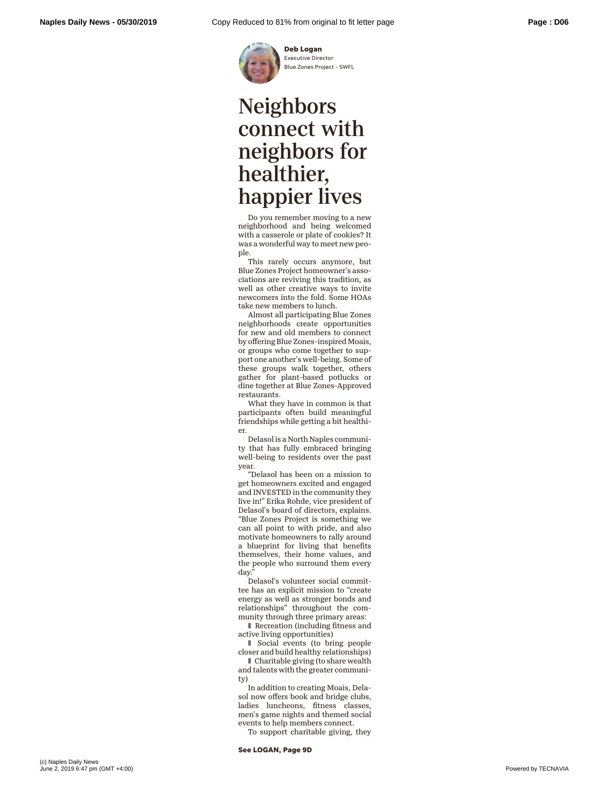

**Deb Logan** Executive Director Blue Zones Project - SWFL

## Neighbors connect with neighbors for healthier, happier lives

Do you remember moving to a new neighborhood and being welcomed with a casserole or plate of cookies? It was a wonderful way to meet new people.

This rarely occurs anymore, but Blue Zones Project homeowner's associations are reviving this tradition, as well as other creative ways to invite newcomers into the fold. Some HOAs take new members to lunch.

Almost all participating Blue Zones neighborhoods create opportunities for new and old members to connect by offering Blue Zones-inspired Moais, or groups who come together to support one another's well-being. Some of these groups walk together, others gather for plant-based potlucks or dine together at Blue Zones-Approved restaurants.

What they have in common is that participants often build meaningful friendships while getting a bit healthier.

Delasol is a North Naples community that has fully embraced bringing well-being to residents over the past year.

"Delasol has been on a mission to get homeowners excited and engaged and INVESTED in the community they live in!" Erika Rohde, vice president of Delasol's board of directors, explains. "Blue Zones Project is something we can all point to with pride, and also motivate homeowners to rally around a blueprint for living that benefits themselves, their home values, and the people who surround them every day.

Delasol's volunteer social committee has an explicit mission to "create energy as well as stronger bonds and relationships" throughout the community through three primary areas:

■ Recreation (including fitness and active living opportunities)

■ Social events (to bring people closer and build healthy relationships)

■ Charitable giving (to share wealth and talents with the greater community)

In addition to creating Moais, Delasol now offers book and bridge clubs, ladies luncheons, fitness classes, men's game nights and themed social events to help members connect.

To support charitable giving, they